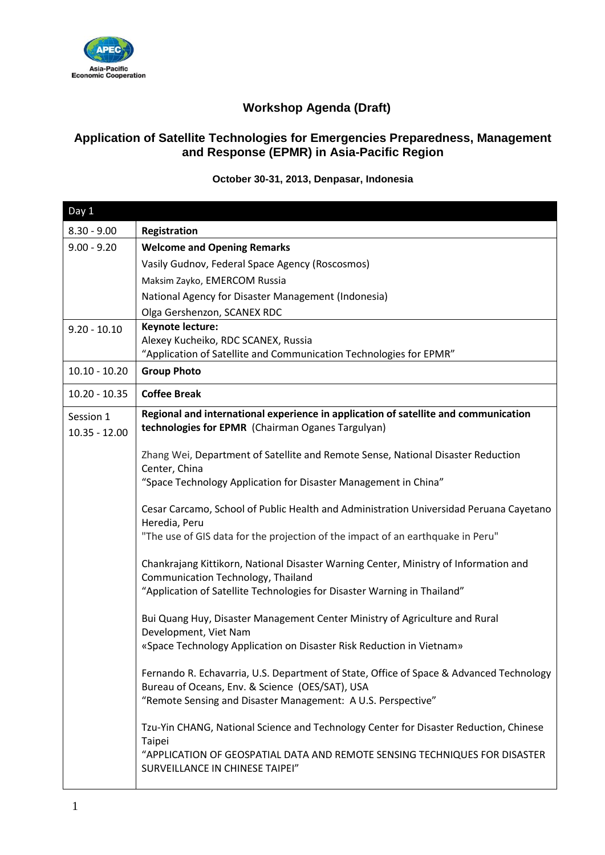

## **Workshop Agenda (Draft)**

## **Application of Satellite Technologies for Emergencies Preparedness, Management and Response (EPMR) in Asia-Pacific Region**

**October 30-31, 2013, Denpasar, Indonesia**

| Day 1           |                                                                                                                                                                                                            |
|-----------------|------------------------------------------------------------------------------------------------------------------------------------------------------------------------------------------------------------|
| $8.30 - 9.00$   | Registration                                                                                                                                                                                               |
| $9.00 - 9.20$   | <b>Welcome and Opening Remarks</b>                                                                                                                                                                         |
|                 | Vasily Gudnov, Federal Space Agency (Roscosmos)                                                                                                                                                            |
|                 | Maksim Zayko, EMERCOM Russia                                                                                                                                                                               |
|                 | National Agency for Disaster Management (Indonesia)                                                                                                                                                        |
|                 | Olga Gershenzon, SCANEX RDC                                                                                                                                                                                |
| $9.20 - 10.10$  | Keynote lecture:<br>Alexey Kucheiko, RDC SCANEX, Russia                                                                                                                                                    |
|                 | "Application of Satellite and Communication Technologies for EPMR"                                                                                                                                         |
| $10.10 - 10.20$ | <b>Group Photo</b>                                                                                                                                                                                         |
| $10.20 - 10.35$ | <b>Coffee Break</b>                                                                                                                                                                                        |
| Session 1       | Regional and international experience in application of satellite and communication                                                                                                                        |
| $10.35 - 12.00$ | technologies for EPMR (Chairman Oganes Targulyan)                                                                                                                                                          |
|                 | Zhang Wei, Department of Satellite and Remote Sense, National Disaster Reduction                                                                                                                           |
|                 | Center, China                                                                                                                                                                                              |
|                 | "Space Technology Application for Disaster Management in China"                                                                                                                                            |
|                 | Cesar Carcamo, School of Public Health and Administration Universidad Peruana Cayetano<br>Heredia, Peru                                                                                                    |
|                 | "The use of GIS data for the projection of the impact of an earthquake in Peru"                                                                                                                            |
|                 | Chankrajang Kittikorn, National Disaster Warning Center, Ministry of Information and<br>Communication Technology, Thailand                                                                                 |
|                 | "Application of Satellite Technologies for Disaster Warning in Thailand"                                                                                                                                   |
|                 | Bui Quang Huy, Disaster Management Center Ministry of Agriculture and Rural<br>Development, Viet Nam                                                                                                       |
|                 | «Space Technology Application on Disaster Risk Reduction in Vietnam»                                                                                                                                       |
|                 | Fernando R. Echavarria, U.S. Department of State, Office of Space & Advanced Technology<br>Bureau of Oceans, Env. & Science (OES/SAT), USA<br>"Remote Sensing and Disaster Management: A U.S. Perspective" |
|                 | Tzu-Yin CHANG, National Science and Technology Center for Disaster Reduction, Chinese<br>Taipei                                                                                                            |
|                 | "APPLICATION OF GEOSPATIAL DATA AND REMOTE SENSING TECHNIQUES FOR DISASTER<br>SURVEILLANCE IN CHINESE TAIPEI"                                                                                              |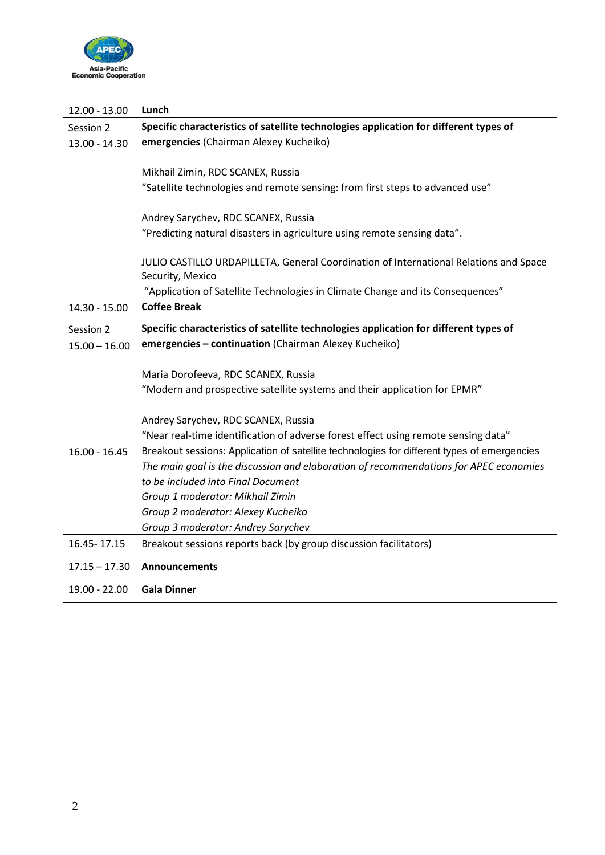

| $12.00 - 13.00$ | Lunch                                                                                       |
|-----------------|---------------------------------------------------------------------------------------------|
| Session 2       | Specific characteristics of satellite technologies application for different types of       |
| 13.00 - 14.30   | emergencies (Chairman Alexey Kucheiko)                                                      |
|                 |                                                                                             |
|                 | Mikhail Zimin, RDC SCANEX, Russia                                                           |
|                 | "Satellite technologies and remote sensing: from first steps to advanced use"               |
|                 |                                                                                             |
|                 | Andrey Sarychev, RDC SCANEX, Russia                                                         |
|                 | "Predicting natural disasters in agriculture using remote sensing data".                    |
|                 | JULIO CASTILLO URDAPILLETA, General Coordination of International Relations and Space       |
|                 | Security, Mexico                                                                            |
|                 | "Application of Satellite Technologies in Climate Change and its Consequences"              |
| $14.30 - 15.00$ | <b>Coffee Break</b>                                                                         |
| Session 2       | Specific characteristics of satellite technologies application for different types of       |
| $15.00 - 16.00$ | emergencies - continuation (Chairman Alexey Kucheiko)                                       |
|                 |                                                                                             |
|                 | Maria Dorofeeva, RDC SCANEX, Russia                                                         |
|                 | "Modern and prospective satellite systems and their application for EPMR"                   |
|                 |                                                                                             |
|                 | Andrey Sarychev, RDC SCANEX, Russia                                                         |
|                 | "Near real-time identification of adverse forest effect using remote sensing data"          |
| $16.00 - 16.45$ | Breakout sessions: Application of satellite technologies for different types of emergencies |
|                 | The main goal is the discussion and elaboration of recommendations for APEC economies       |
|                 | to be included into Final Document                                                          |
|                 | Group 1 moderator: Mikhail Zimin                                                            |
|                 | Group 2 moderator: Alexey Kucheiko                                                          |
|                 | Group 3 moderator: Andrey Sarychev                                                          |
| 16.45 - 17.15   | Breakout sessions reports back (by group discussion facilitators)                           |
| $17.15 - 17.30$ | <b>Announcements</b>                                                                        |
| 19.00 - 22.00   | <b>Gala Dinner</b>                                                                          |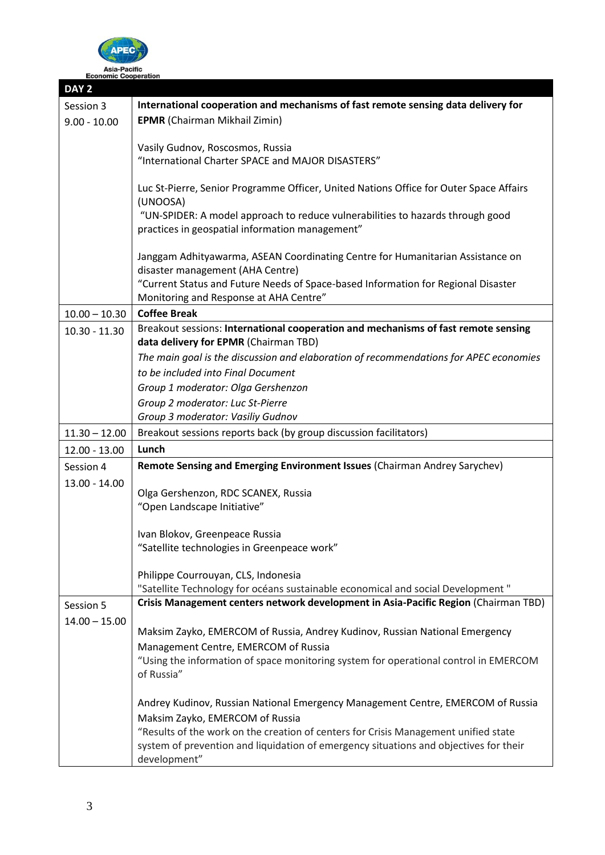

|                      | ASIA-PACING |  |
|----------------------|-------------|--|
| :conomic Cooperation |             |  |

| DAY <sub>2</sub> |                                                                                        |  |  |
|------------------|----------------------------------------------------------------------------------------|--|--|
| Session 3        | International cooperation and mechanisms of fast remote sensing data delivery for      |  |  |
| $9.00 - 10.00$   | <b>EPMR</b> (Chairman Mikhail Zimin)                                                   |  |  |
|                  |                                                                                        |  |  |
|                  | Vasily Gudnov, Roscosmos, Russia                                                       |  |  |
|                  | "International Charter SPACE and MAJOR DISASTERS"                                      |  |  |
|                  | Luc St-Pierre, Senior Programme Officer, United Nations Office for Outer Space Affairs |  |  |
|                  | (UNOOSA)                                                                               |  |  |
|                  | "UN-SPIDER: A model approach to reduce vulnerabilities to hazards through good         |  |  |
|                  | practices in geospatial information management"                                        |  |  |
|                  |                                                                                        |  |  |
|                  | Janggam Adhityawarma, ASEAN Coordinating Centre for Humanitarian Assistance on         |  |  |
|                  | disaster management (AHA Centre)                                                       |  |  |
|                  | "Current Status and Future Needs of Space-based Information for Regional Disaster      |  |  |
|                  | Monitoring and Response at AHA Centre"<br><b>Coffee Break</b>                          |  |  |
| $10.00 - 10.30$  | Breakout sessions: International cooperation and mechanisms of fast remote sensing     |  |  |
| $10.30 - 11.30$  | data delivery for EPMR (Chairman TBD)                                                  |  |  |
|                  | The main goal is the discussion and elaboration of recommendations for APEC economies  |  |  |
|                  | to be included into Final Document                                                     |  |  |
|                  | Group 1 moderator: Olga Gershenzon                                                     |  |  |
|                  | Group 2 moderator: Luc St-Pierre                                                       |  |  |
|                  | Group 3 moderator: Vasiliy Gudnov                                                      |  |  |
| $11.30 - 12.00$  | Breakout sessions reports back (by group discussion facilitators)                      |  |  |
| $12.00 - 13.00$  | Lunch                                                                                  |  |  |
| Session 4        | Remote Sensing and Emerging Environment Issues (Chairman Andrey Sarychev)              |  |  |
| $13.00 - 14.00$  |                                                                                        |  |  |
|                  | Olga Gershenzon, RDC SCANEX, Russia                                                    |  |  |
|                  | "Open Landscape Initiative"                                                            |  |  |
|                  | Ivan Blokov, Greenpeace Russia                                                         |  |  |
|                  | "Satellite technologies in Greenpeace work"                                            |  |  |
|                  |                                                                                        |  |  |
|                  | Philippe Courrouyan, CLS, Indonesia                                                    |  |  |
|                  | "Satellite Technology for océans sustainable economical and social Development"        |  |  |
| Session 5        | Crisis Management centers network development in Asia-Pacific Region (Chairman TBD)    |  |  |
| $14.00 - 15.00$  |                                                                                        |  |  |
|                  | Maksim Zayko, EMERCOM of Russia, Andrey Kudinov, Russian National Emergency            |  |  |
|                  | Management Centre, EMERCOM of Russia                                                   |  |  |
|                  | "Using the information of space monitoring system for operational control in EMERCOM   |  |  |
|                  | of Russia"                                                                             |  |  |
|                  | Andrey Kudinov, Russian National Emergency Management Centre, EMERCOM of Russia        |  |  |
|                  | Maksim Zayko, EMERCOM of Russia                                                        |  |  |
|                  | "Results of the work on the creation of centers for Crisis Management unified state    |  |  |
|                  | system of prevention and liquidation of emergency situations and objectives for their  |  |  |
|                  | development"                                                                           |  |  |